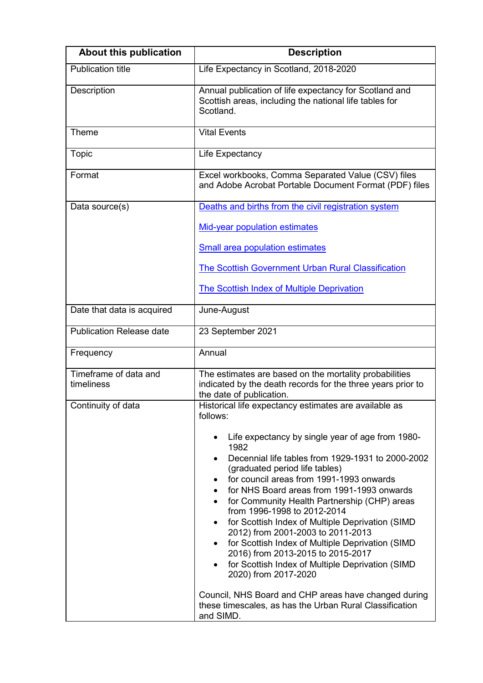| <b>About this publication</b>       | <b>Description</b>                                                                                                                                                                                                                                                                                                                                                                                                                                                                                                                                                                                                                                          |
|-------------------------------------|-------------------------------------------------------------------------------------------------------------------------------------------------------------------------------------------------------------------------------------------------------------------------------------------------------------------------------------------------------------------------------------------------------------------------------------------------------------------------------------------------------------------------------------------------------------------------------------------------------------------------------------------------------------|
| <b>Publication title</b>            | Life Expectancy in Scotland, 2018-2020                                                                                                                                                                                                                                                                                                                                                                                                                                                                                                                                                                                                                      |
| Description                         | Annual publication of life expectancy for Scotland and<br>Scottish areas, including the national life tables for<br>Scotland.                                                                                                                                                                                                                                                                                                                                                                                                                                                                                                                               |
| Theme                               | <b>Vital Events</b>                                                                                                                                                                                                                                                                                                                                                                                                                                                                                                                                                                                                                                         |
| Topic                               | Life Expectancy                                                                                                                                                                                                                                                                                                                                                                                                                                                                                                                                                                                                                                             |
| Format                              | Excel workbooks, Comma Separated Value (CSV) files<br>and Adobe Acrobat Portable Document Format (PDF) files                                                                                                                                                                                                                                                                                                                                                                                                                                                                                                                                                |
| Data source(s)                      | Deaths and births from the civil registration system                                                                                                                                                                                                                                                                                                                                                                                                                                                                                                                                                                                                        |
|                                     | <b>Mid-year population estimates</b>                                                                                                                                                                                                                                                                                                                                                                                                                                                                                                                                                                                                                        |
|                                     | <b>Small area population estimates</b>                                                                                                                                                                                                                                                                                                                                                                                                                                                                                                                                                                                                                      |
|                                     | The Scottish Government Urban Rural Classification                                                                                                                                                                                                                                                                                                                                                                                                                                                                                                                                                                                                          |
|                                     | <b>The Scottish Index of Multiple Deprivation</b>                                                                                                                                                                                                                                                                                                                                                                                                                                                                                                                                                                                                           |
| Date that data is acquired          | June-August                                                                                                                                                                                                                                                                                                                                                                                                                                                                                                                                                                                                                                                 |
| <b>Publication Release date</b>     | 23 September 2021                                                                                                                                                                                                                                                                                                                                                                                                                                                                                                                                                                                                                                           |
| Frequency                           | Annual                                                                                                                                                                                                                                                                                                                                                                                                                                                                                                                                                                                                                                                      |
| Timeframe of data and<br>timeliness | The estimates are based on the mortality probabilities<br>indicated by the death records for the three years prior to<br>the date of publication.                                                                                                                                                                                                                                                                                                                                                                                                                                                                                                           |
| Continuity of data                  | Historical life expectancy estimates are available as<br>follows:                                                                                                                                                                                                                                                                                                                                                                                                                                                                                                                                                                                           |
|                                     | Life expectancy by single year of age from 1980-<br>1982<br>Decennial life tables from 1929-1931 to 2000-2002<br>(graduated period life tables)<br>for council areas from 1991-1993 onwards<br>for NHS Board areas from 1991-1993 onwards<br>for Community Health Partnership (CHP) areas<br>from 1996-1998 to 2012-2014<br>for Scottish Index of Multiple Deprivation (SIMD<br>2012) from 2001-2003 to 2011-2013<br>for Scottish Index of Multiple Deprivation (SIMD<br>$\bullet$<br>2016) from 2013-2015 to 2015-2017<br>for Scottish Index of Multiple Deprivation (SIMD<br>2020) from 2017-2020<br>Council, NHS Board and CHP areas have changed during |
|                                     | these timescales, as has the Urban Rural Classification<br>and SIMD.                                                                                                                                                                                                                                                                                                                                                                                                                                                                                                                                                                                        |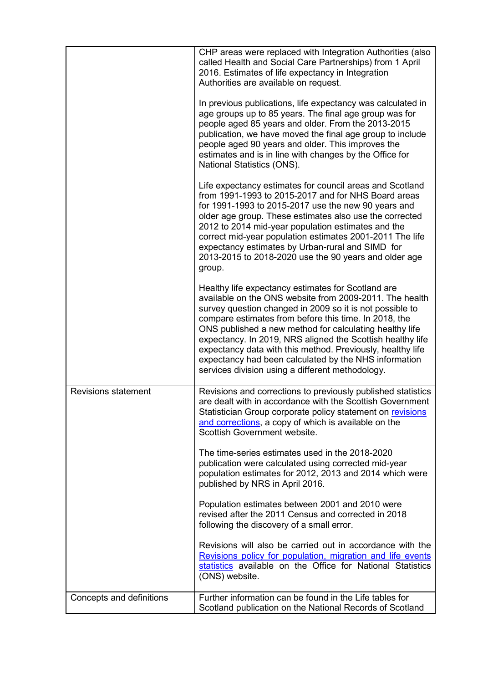|                            | CHP areas were replaced with Integration Authorities (also<br>called Health and Social Care Partnerships) from 1 April<br>2016. Estimates of life expectancy in Integration<br>Authorities are available on request.<br>In previous publications, life expectancy was calculated in<br>age groups up to 85 years. The final age group was for<br>people aged 85 years and older. From the 2013-2015<br>publication, we have moved the final age group to include<br>people aged 90 years and older. This improves the<br>estimates and is in line with changes by the Office for<br>National Statistics (ONS). |
|----------------------------|----------------------------------------------------------------------------------------------------------------------------------------------------------------------------------------------------------------------------------------------------------------------------------------------------------------------------------------------------------------------------------------------------------------------------------------------------------------------------------------------------------------------------------------------------------------------------------------------------------------|
|                            | Life expectancy estimates for council areas and Scotland<br>from 1991-1993 to 2015-2017 and for NHS Board areas<br>for 1991-1993 to 2015-2017 use the new 90 years and<br>older age group. These estimates also use the corrected<br>2012 to 2014 mid-year population estimates and the<br>correct mid-year population estimates 2001-2011 The life<br>expectancy estimates by Urban-rural and SIMD for<br>2013-2015 to 2018-2020 use the 90 years and older age<br>group.                                                                                                                                     |
|                            | Healthy life expectancy estimates for Scotland are<br>available on the ONS website from 2009-2011. The health<br>survey question changed in 2009 so it is not possible to<br>compare estimates from before this time. In 2018, the<br>ONS published a new method for calculating healthy life<br>expectancy. In 2019, NRS aligned the Scottish healthy life<br>expectancy data with this method. Previously, healthy life<br>expectancy had been calculated by the NHS information<br>services division using a different methodology.                                                                         |
| <b>Revisions statement</b> | Revisions and corrections to previously published statistics<br>are dealt with in accordance with the Scottish Government<br>Statistician Group corporate policy statement on revisions<br>and corrections, a copy of which is available on the<br>Scottish Government website.                                                                                                                                                                                                                                                                                                                                |
|                            | The time-series estimates used in the 2018-2020<br>publication were calculated using corrected mid-year<br>population estimates for 2012, 2013 and 2014 which were<br>published by NRS in April 2016.                                                                                                                                                                                                                                                                                                                                                                                                          |
|                            | Population estimates between 2001 and 2010 were<br>revised after the 2011 Census and corrected in 2018<br>following the discovery of a small error.                                                                                                                                                                                                                                                                                                                                                                                                                                                            |
|                            | Revisions will also be carried out in accordance with the<br>Revisions policy for population, migration and life events<br>statistics available on the Office for National Statistics<br>(ONS) website.                                                                                                                                                                                                                                                                                                                                                                                                        |
| Concepts and definitions   | Further information can be found in the Life tables for<br>Scotland publication on the National Records of Scotland                                                                                                                                                                                                                                                                                                                                                                                                                                                                                            |